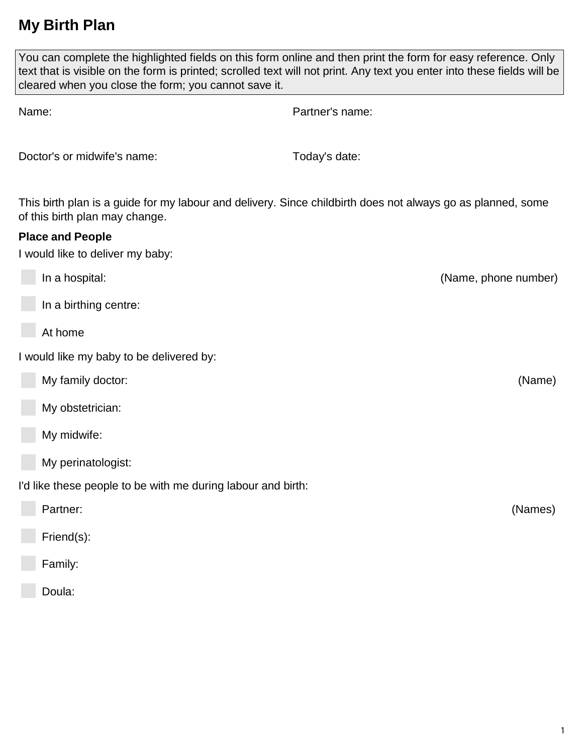# **My Birth Plan**

| You can complete the highlighted fields on this form online and then print the form for easy reference. Only<br>text that is visible on the form is printed; scrolled text will not print. Any text you enter into these fields will be<br>cleared when you close the form; you cannot save it. |                                                                                                             |
|-------------------------------------------------------------------------------------------------------------------------------------------------------------------------------------------------------------------------------------------------------------------------------------------------|-------------------------------------------------------------------------------------------------------------|
| Name:                                                                                                                                                                                                                                                                                           | Partner's name:                                                                                             |
| Doctor's or midwife's name:                                                                                                                                                                                                                                                                     | Today's date:                                                                                               |
| of this birth plan may change.                                                                                                                                                                                                                                                                  | This birth plan is a guide for my labour and delivery. Since childbirth does not always go as planned, some |
| <b>Place and People</b><br>I would like to deliver my baby:                                                                                                                                                                                                                                     |                                                                                                             |
| In a hospital:                                                                                                                                                                                                                                                                                  | (Name, phone number)                                                                                        |
| In a birthing centre:                                                                                                                                                                                                                                                                           |                                                                                                             |
| At home                                                                                                                                                                                                                                                                                         |                                                                                                             |
| I would like my baby to be delivered by:                                                                                                                                                                                                                                                        |                                                                                                             |
| My family doctor:                                                                                                                                                                                                                                                                               | (Name)                                                                                                      |
| My obstetrician:                                                                                                                                                                                                                                                                                |                                                                                                             |
| My midwife:                                                                                                                                                                                                                                                                                     |                                                                                                             |
| My perinatologist:                                                                                                                                                                                                                                                                              |                                                                                                             |
| I'd like these people to be with me during labour and birth:                                                                                                                                                                                                                                    |                                                                                                             |
| Partner:                                                                                                                                                                                                                                                                                        | (Names)                                                                                                     |
| Friend(s):                                                                                                                                                                                                                                                                                      |                                                                                                             |
| Family:                                                                                                                                                                                                                                                                                         |                                                                                                             |
| Doula:                                                                                                                                                                                                                                                                                          |                                                                                                             |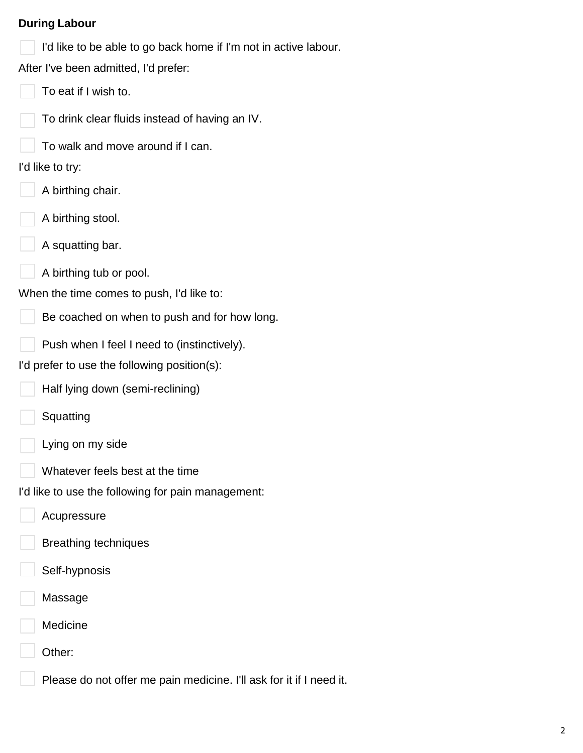#### **During Labour**

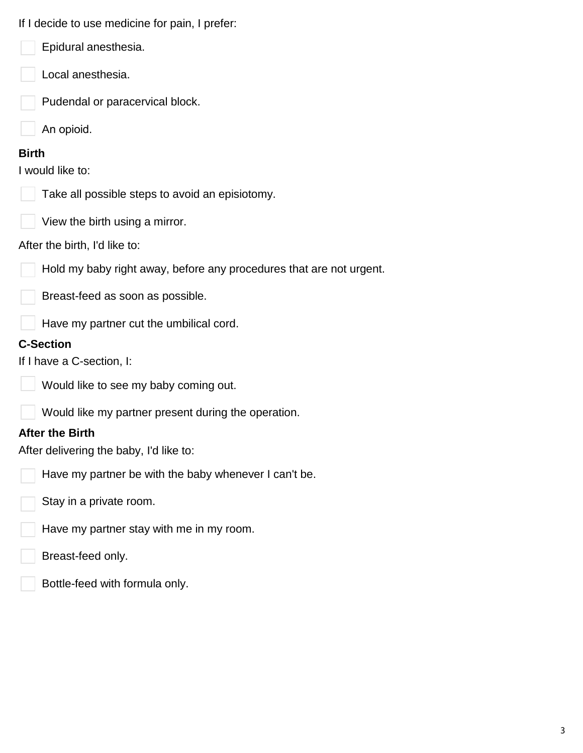| If I decide to use medicine for pain, I prefer: |
|-------------------------------------------------|
|-------------------------------------------------|

- Epidural anesthesia.
- Local anesthesia.
- Pudendal or paracervical block.
- An opioid.

#### **Birth**

I would like to:

Take all possible steps to avoid an episiotomy.



### After the birth, I'd like to:

Hold my baby right away, before any procedures that are not urgent.

Breast-feed as soon as possible.

Have my partner cut the umbilical cord.

## **C-Section**

If I have a C-section, I:



Would like to see my baby coming out.

Would like my partner present during the operation.

### **After the Birth**

After delivering the baby, I'd like to:

- Have my partner be with the baby whenever I can't be.
- Stay in a private room.
- Have my partner stay with me in my room.
- Breast-feed only.
- Bottle-feed with formula only.